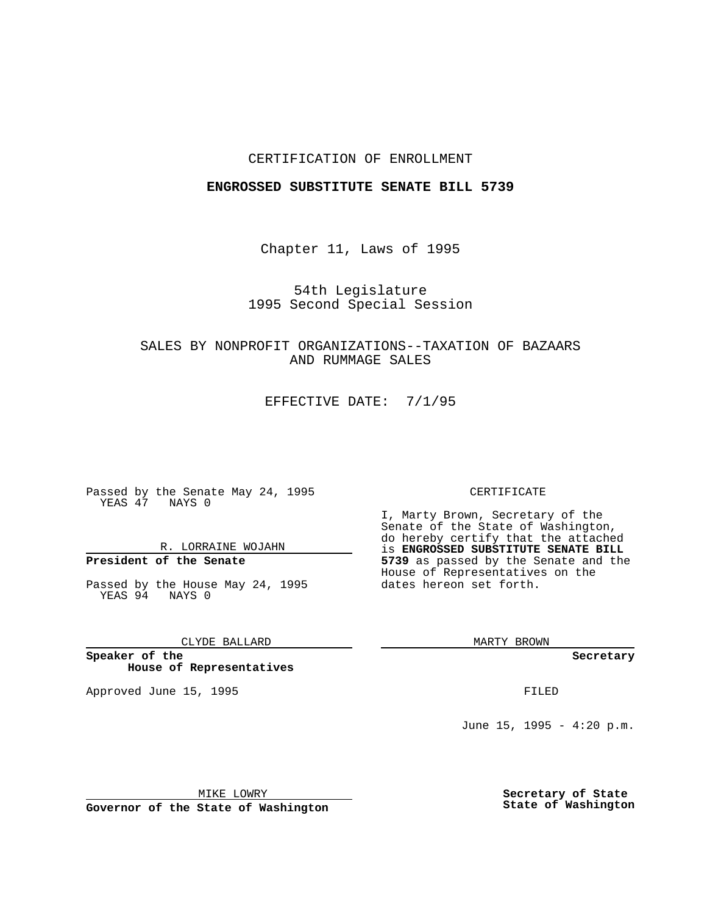## CERTIFICATION OF ENROLLMENT

### **ENGROSSED SUBSTITUTE SENATE BILL 5739**

Chapter 11, Laws of 1995

54th Legislature 1995 Second Special Session

SALES BY NONPROFIT ORGANIZATIONS--TAXATION OF BAZAARS AND RUMMAGE SALES

EFFECTIVE DATE: 7/1/95

Passed by the Senate May 24, 1995 YEAS 47 NAYS 0

R. LORRAINE WOJAHN

# **President of the Senate**

Passed by the House May 24, 1995 YEAS 94 NAYS 0

CLYDE BALLARD

**Speaker of the House of Representatives**

Approved June 15, 1995 FILED

#### CERTIFICATE

I, Marty Brown, Secretary of the Senate of the State of Washington, do hereby certify that the attached is **ENGROSSED SUBSTITUTE SENATE BILL 5739** as passed by the Senate and the House of Representatives on the dates hereon set forth.

MARTY BROWN

**Secretary**

June 15, 1995 - 4:20 p.m.

MIKE LOWRY

**Governor of the State of Washington**

**Secretary of State State of Washington**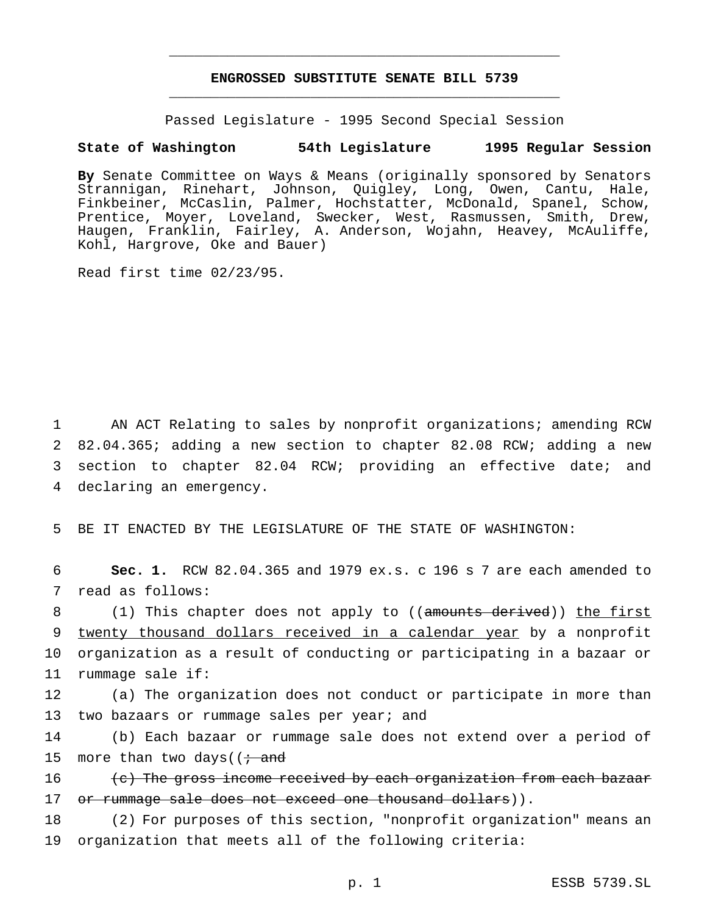## **ENGROSSED SUBSTITUTE SENATE BILL 5739** \_\_\_\_\_\_\_\_\_\_\_\_\_\_\_\_\_\_\_\_\_\_\_\_\_\_\_\_\_\_\_\_\_\_\_\_\_\_\_\_\_\_\_\_\_\_\_

\_\_\_\_\_\_\_\_\_\_\_\_\_\_\_\_\_\_\_\_\_\_\_\_\_\_\_\_\_\_\_\_\_\_\_\_\_\_\_\_\_\_\_\_\_\_\_

Passed Legislature - 1995 Second Special Session

### **State of Washington 54th Legislature 1995 Regular Session**

**By** Senate Committee on Ways & Means (originally sponsored by Senators Strannigan, Rinehart, Johnson, Quigley, Long, Owen, Cantu, Hale, Finkbeiner, McCaslin, Palmer, Hochstatter, McDonald, Spanel, Schow, Prentice, Moyer, Loveland, Swecker, West, Rasmussen, Smith, Drew, Haugen, Franklin, Fairley, A. Anderson, Wojahn, Heavey, McAuliffe, Kohl, Hargrove, Oke and Bauer)

Read first time 02/23/95.

 AN ACT Relating to sales by nonprofit organizations; amending RCW 82.04.365; adding a new section to chapter 82.08 RCW; adding a new section to chapter 82.04 RCW; providing an effective date; and declaring an emergency.

5 BE IT ENACTED BY THE LEGISLATURE OF THE STATE OF WASHINGTON:

6 **Sec. 1.** RCW 82.04.365 and 1979 ex.s. c 196 s 7 are each amended to 7 read as follows:

8 (1) This chapter does not apply to ((amounts derived)) the first twenty thousand dollars received in a calendar year by a nonprofit organization as a result of conducting or participating in a bazaar or rummage sale if:

12 (a) The organization does not conduct or participate in more than 13 two bazaars or rummage sales per year; and

14 (b) Each bazaar or rummage sale does not extend over a period of 15 more than two days( $\left(i + \text{and}\right)$ 

16  $\left\{ \left( e \right) \right\}$  The gross income received by each organization from each bazaar 17 or rummage sale does not exceed one thousand dollars)).

18 (2) For purposes of this section, "nonprofit organization" means an 19 organization that meets all of the following criteria: